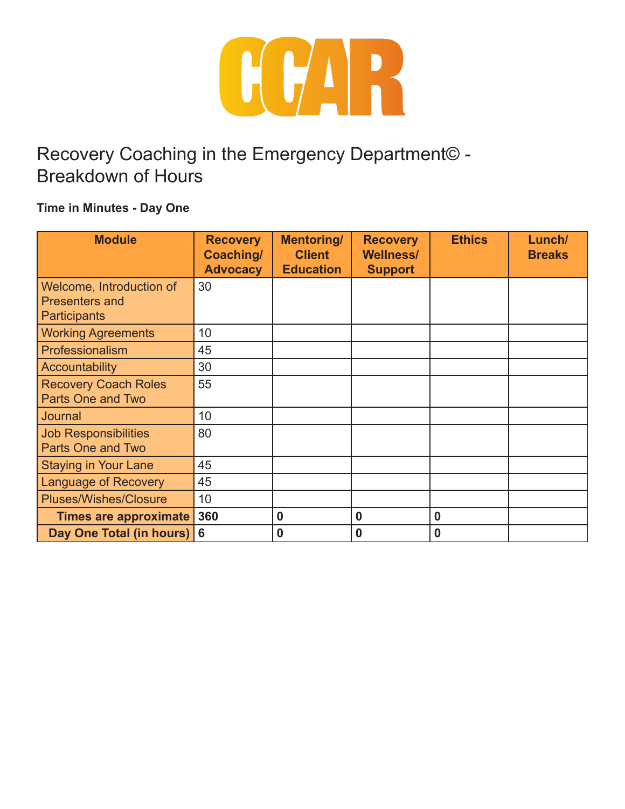

# Recovery Coaching in the Emergency Department© - Breakdown of Hours

### **Time in Minutes - Day One**

| <b>Module</b>                | <b>Recovery</b><br>Coaching/<br><b>Advocacy</b> | <b>Mentoring/</b><br><b>Client</b><br><b>Education</b> | <b>Recovery</b><br><b>Wellness/</b><br><b>Support</b> | <b>Ethics</b> | Lunch/<br><b>Breaks</b> |
|------------------------------|-------------------------------------------------|--------------------------------------------------------|-------------------------------------------------------|---------------|-------------------------|
| Welcome, Introduction of     | 30                                              |                                                        |                                                       |               |                         |
| <b>Presenters and</b>        |                                                 |                                                        |                                                       |               |                         |
| <b>Participants</b>          |                                                 |                                                        |                                                       |               |                         |
| <b>Working Agreements</b>    | 10                                              |                                                        |                                                       |               |                         |
| Professionalism              | 45                                              |                                                        |                                                       |               |                         |
| <b>Accountability</b>        | 30                                              |                                                        |                                                       |               |                         |
| <b>Recovery Coach Roles</b>  | 55                                              |                                                        |                                                       |               |                         |
| <b>Parts One and Two</b>     |                                                 |                                                        |                                                       |               |                         |
| Journal                      | 10                                              |                                                        |                                                       |               |                         |
| <b>Job Responsibilities</b>  | 80                                              |                                                        |                                                       |               |                         |
| <b>Parts One and Two</b>     |                                                 |                                                        |                                                       |               |                         |
| <b>Staying in Your Lane</b>  | 45                                              |                                                        |                                                       |               |                         |
| <b>Language of Recovery</b>  | 45                                              |                                                        |                                                       |               |                         |
| <b>Pluses/Wishes/Closure</b> | 10                                              |                                                        |                                                       |               |                         |
| <b>Times are approximate</b> | 360                                             | $\bf{0}$                                               | 0                                                     | 0             |                         |
| Day One Total (in hours)     | 6                                               | $\bf{0}$                                               | 0                                                     | 0             |                         |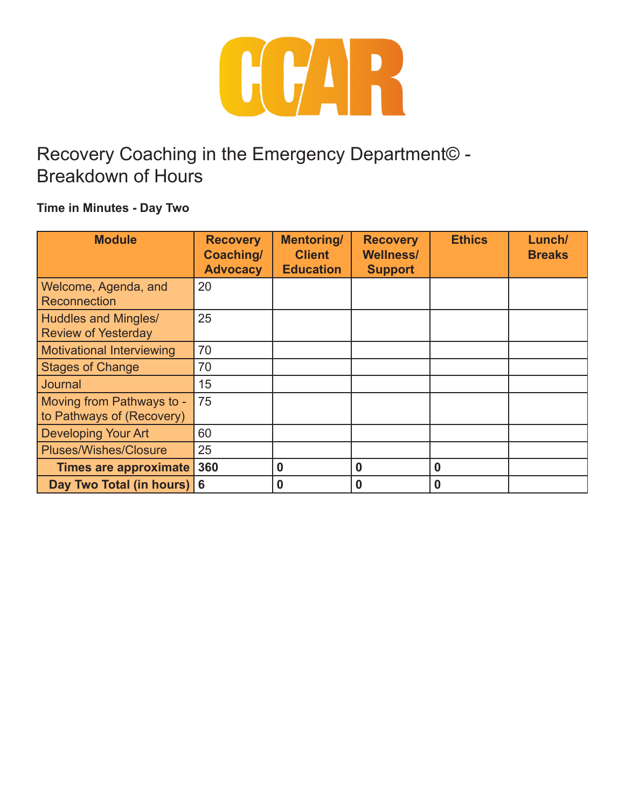

# Recovery Coaching in the Emergency Department© - Breakdown of Hours

### **Time in Minutes - Day Two**

| <b>Module</b>                                          | <b>Recovery</b><br>Coaching/<br><b>Advocacy</b> | <b>Mentoring/</b><br><b>Client</b><br><b>Education</b> | <b>Recovery</b><br><b>Wellness/</b><br><b>Support</b> | <b>Ethics</b> | Lunch/<br><b>Breaks</b> |
|--------------------------------------------------------|-------------------------------------------------|--------------------------------------------------------|-------------------------------------------------------|---------------|-------------------------|
| Welcome, Agenda, and<br><b>Reconnection</b>            | 20                                              |                                                        |                                                       |               |                         |
| Huddles and Mingles/<br><b>Review of Yesterday</b>     | 25                                              |                                                        |                                                       |               |                         |
| <b>Motivational Interviewing</b>                       | 70                                              |                                                        |                                                       |               |                         |
| <b>Stages of Change</b>                                | 70                                              |                                                        |                                                       |               |                         |
| Journal                                                | 15                                              |                                                        |                                                       |               |                         |
| Moving from Pathways to -<br>to Pathways of (Recovery) | 75                                              |                                                        |                                                       |               |                         |
| <b>Developing Your Art</b>                             | 60                                              |                                                        |                                                       |               |                         |
| <b>Pluses/Wishes/Closure</b>                           | 25                                              |                                                        |                                                       |               |                         |
| <b>Times are approximate</b>                           | 360                                             | $\bf{0}$                                               | 0                                                     | 0             |                         |
| Day Two Total (in hours)                               | l 6                                             | $\bf{0}$                                               | 0                                                     | 0             |                         |